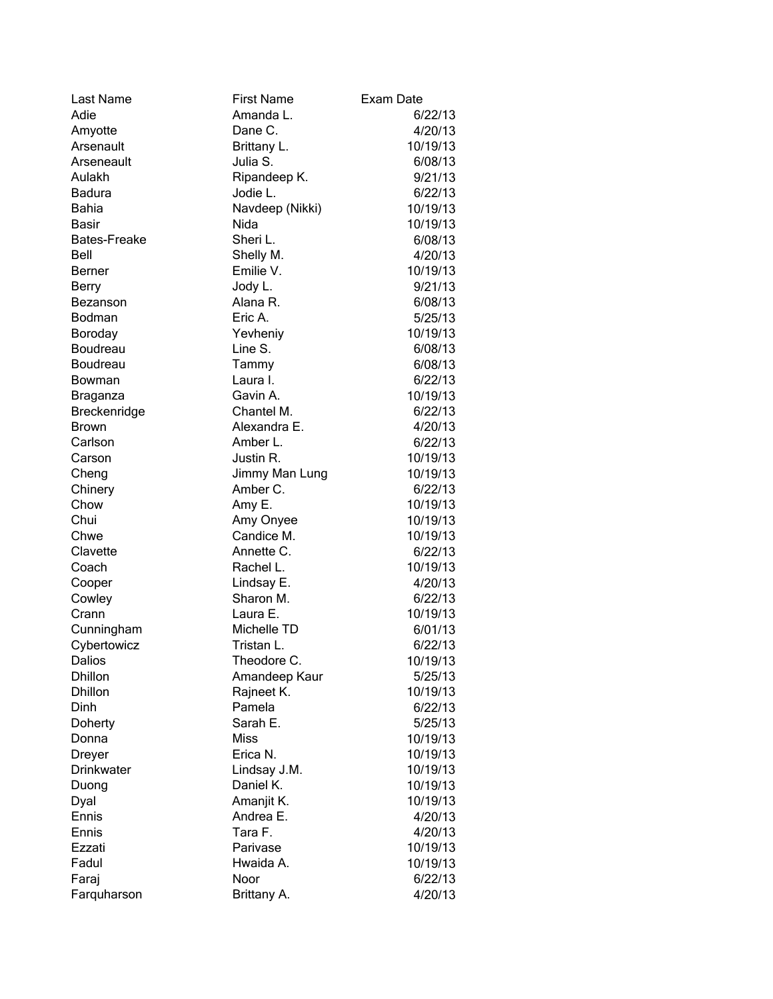| Last Name           | <b>First Name</b> | Exam Date |
|---------------------|-------------------|-----------|
| Adie                | Amanda L.         | 6/22/13   |
| Amyotte             | Dane C.           | 4/20/13   |
| Arsenault           | Brittany L.       | 10/19/13  |
| Arseneault          | Julia S.          | 6/08/13   |
| Aulakh              | Ripandeep K.      | 9/21/13   |
| <b>Badura</b>       | Jodie L.          | 6/22/13   |
| <b>Bahia</b>        | Navdeep (Nikki)   | 10/19/13  |
| Basir               | Nida              | 10/19/13  |
| <b>Bates-Freake</b> | Sheri L.          | 6/08/13   |
| Bell                | Shelly M.         | 4/20/13   |
| <b>Berner</b>       | Emilie V.         | 10/19/13  |
| <b>Berry</b>        | Jody L.           | 9/21/13   |
| Bezanson            | Alana R.          | 6/08/13   |
| Bodman              | Eric A.           | 5/25/13   |
| Boroday             | Yevheniy          | 10/19/13  |
| Boudreau            | Line S.           | 6/08/13   |
| Boudreau            | Tammy             | 6/08/13   |
| Bowman              | Laura I.          | 6/22/13   |
| Braganza            | Gavin A.          | 10/19/13  |
| Breckenridge        | Chantel M.        | 6/22/13   |
| Brown               | Alexandra E.      | 4/20/13   |
| Carlson             | Amber L.          | 6/22/13   |
| Carson              | Justin R.         | 10/19/13  |
| Cheng               | Jimmy Man Lung    | 10/19/13  |
| Chinery             | Amber C.          | 6/22/13   |
| Chow                | Amy E.            | 10/19/13  |
| Chui                | Amy Onyee         | 10/19/13  |
| Chwe                | Candice M.        | 10/19/13  |
| Clavette            | Annette C.        | 6/22/13   |
| Coach               | Rachel L.         | 10/19/13  |
| Cooper              | Lindsay E.        | 4/20/13   |
| Cowley              | Sharon M.         | 6/22/13   |
| Crann               | Laura E.          | 10/19/13  |
| Cunningham          | Michelle TD       | 6/01/13   |
| Cybertowicz         | Tristan L.        | 6/22/13   |
| Dalios              | Theodore C.       | 10/19/13  |
| <b>Dhillon</b>      | Amandeep Kaur     | 5/25/13   |
| <b>Dhillon</b>      | Rajneet K.        | 10/19/13  |
| Dinh                | Pamela            | 6/22/13   |
| Doherty             | Sarah E.          | 5/25/13   |
| Donna               | <b>Miss</b>       | 10/19/13  |
| Dreyer              | Erica N.          | 10/19/13  |
| Drinkwater          | Lindsay J.M.      | 10/19/13  |
| Duong               | Daniel K.         | 10/19/13  |
| Dyal                | Amanjit K.        | 10/19/13  |
| Ennis               | Andrea E.         | 4/20/13   |
| Ennis               | Tara F.           | 4/20/13   |
| Ezzati              | Parivase          | 10/19/13  |
| Fadul               | Hwaida A.         | 10/19/13  |
| Faraj               | Noor              | 6/22/13   |
| Farquharson         | Brittany A.       | 4/20/13   |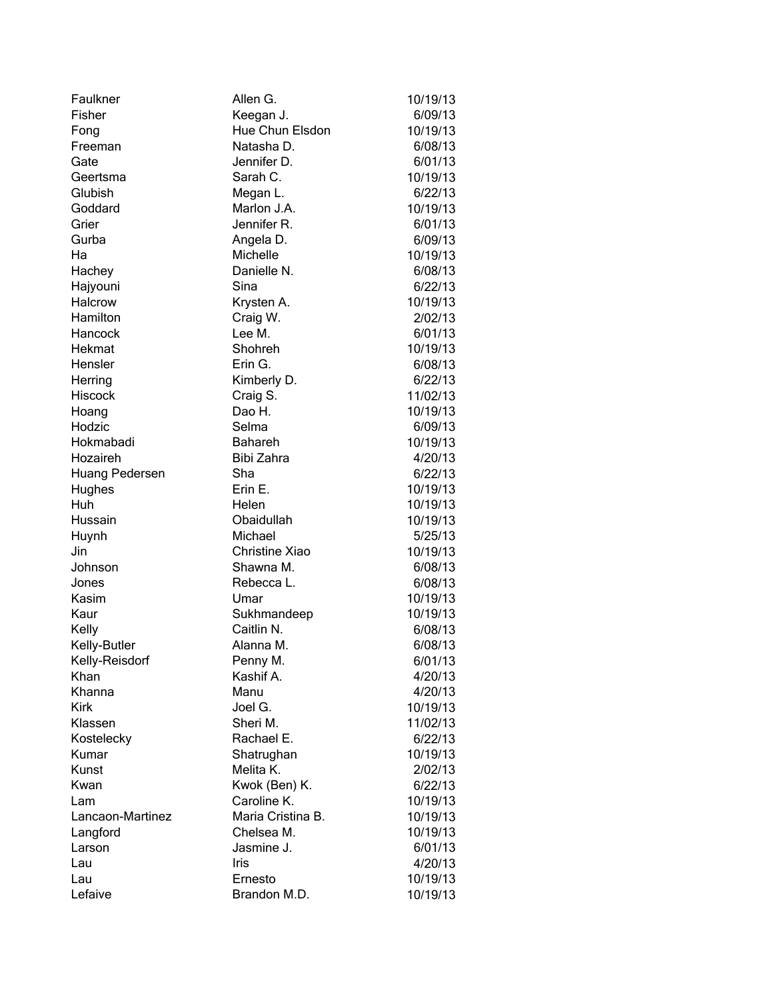| Faulkner         | Allen G.          | 10/19/13 |
|------------------|-------------------|----------|
| Fisher           | Keegan J.         | 6/09/13  |
| Fong             | Hue Chun Elsdon   | 10/19/13 |
| Freeman          | Natasha D.        | 6/08/13  |
| Gate             | Jennifer D.       | 6/01/13  |
| Geertsma         | Sarah C.          | 10/19/13 |
| Glubish          | Megan L.          | 6/22/13  |
| Goddard          | Marlon J.A.       | 10/19/13 |
| Grier            | Jennifer R.       | 6/01/13  |
| Gurba            | Angela D.         | 6/09/13  |
| Ha               | Michelle          | 10/19/13 |
| Hachey           | Danielle N.       | 6/08/13  |
| Hajyouni         | Sina              | 6/22/13  |
| <b>Halcrow</b>   | Krysten A.        | 10/19/13 |
| Hamilton         | Craig W.          | 2/02/13  |
| Hancock          | Lee M.            | 6/01/13  |
| Hekmat           | Shohreh           | 10/19/13 |
| Hensler          | Erin G.           | 6/08/13  |
| Herring          | Kimberly D.       | 6/22/13  |
| <b>Hiscock</b>   | Craig S.          | 11/02/13 |
| Hoang            | Dao H.            | 10/19/13 |
| Hodzic           | Selma             | 6/09/13  |
| Hokmabadi        | <b>Bahareh</b>    | 10/19/13 |
| Hozaireh         | Bibi Zahra        | 4/20/13  |
| Huang Pedersen   | Sha               | 6/22/13  |
| Hughes           | Erin E.           | 10/19/13 |
| Huh              | Helen             | 10/19/13 |
| Hussain          | Obaidullah        | 10/19/13 |
| Huynh            | Michael           | 5/25/13  |
| Jin              | Christine Xiao    | 10/19/13 |
| Johnson          | Shawna M.         | 6/08/13  |
| Jones            | Rebecca L.        | 6/08/13  |
| Kasim            | Umar              | 10/19/13 |
| Kaur             | Sukhmandeep       | 10/19/13 |
| Kelly            | Caitlin N.        | 6/08/13  |
| Kelly-Butler     | Alanna M.         | 6/08/13  |
| Kelly-Reisdorf   | Penny M.          | 6/01/13  |
| Khan             | Kashif A.         | 4/20/13  |
| Khanna           | Manu              | 4/20/13  |
| <b>Kirk</b>      | Joel G.           | 10/19/13 |
| Klassen          | Sheri M.          | 11/02/13 |
| Kostelecky       | Rachael E.        | 6/22/13  |
| Kumar            | Shatrughan        | 10/19/13 |
| Kunst            | Melita K.         | 2/02/13  |
| Kwan             | Kwok (Ben) K.     | 6/22/13  |
| Lam              | Caroline K.       | 10/19/13 |
| Lancaon-Martinez | Maria Cristina B. | 10/19/13 |
| Langford         | Chelsea M.        | 10/19/13 |
| Larson           | Jasmine J.        | 6/01/13  |
| Lau              | <b>Iris</b>       | 4/20/13  |
| Lau              | Ernesto           | 10/19/13 |
| Lefaive          | Brandon M.D.      | 10/19/13 |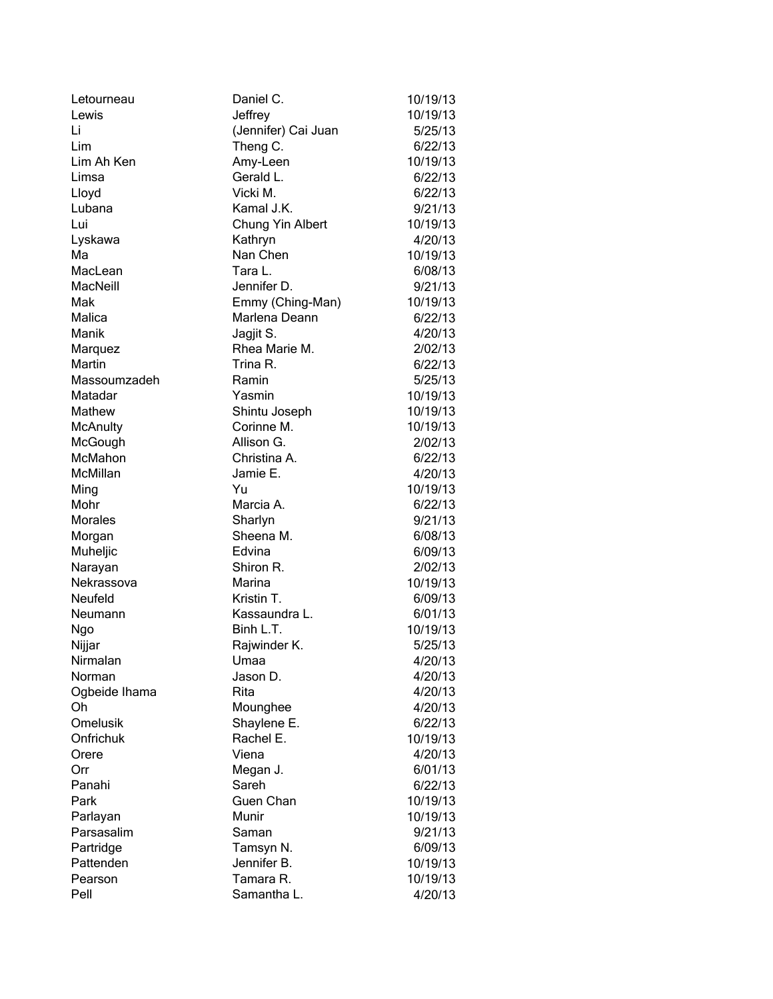| Letourneau      | Daniel C.           | 10/19/13 |
|-----------------|---------------------|----------|
| Lewis           | Jeffrey             | 10/19/13 |
| Li              | (Jennifer) Cai Juan | 5/25/13  |
| Lim             | Theng C.            | 6/22/13  |
| Lim Ah Ken      | Amy-Leen            | 10/19/13 |
| Limsa           | Gerald L.           | 6/22/13  |
| Lloyd           | Vicki M.            | 6/22/13  |
| Lubana          | Kamal J.K.          | 9/21/13  |
| Lui             | Chung Yin Albert    | 10/19/13 |
| Lyskawa         | Kathryn             | 4/20/13  |
| Ma              | Nan Chen            | 10/19/13 |
| MacLean         | Tara L.             | 6/08/13  |
| MacNeill        | Jennifer D.         | 9/21/13  |
| Mak             | Emmy (Ching-Man)    | 10/19/13 |
| Malica          | Marlena Deann       | 6/22/13  |
| Manik           | Jagjit S.           | 4/20/13  |
| Marquez         | Rhea Marie M.       | 2/02/13  |
| Martin          | Trina R.            | 6/22/13  |
| Massoumzadeh    | Ramin               | 5/25/13  |
| Matadar         | Yasmin              | 10/19/13 |
| Mathew          | Shintu Joseph       | 10/19/13 |
| <b>McAnulty</b> | Corinne M.          | 10/19/13 |
| McGough         | Allison G.          | 2/02/13  |
| McMahon         | Christina A.        | 6/22/13  |
| McMillan        | Jamie E.            | 4/20/13  |
| Ming            | Yu                  | 10/19/13 |
| Mohr            | Marcia A.           | 6/22/13  |
| <b>Morales</b>  | Sharlyn             | 9/21/13  |
| Morgan          | Sheena M.           | 6/08/13  |
| Muheljic        | Edvina              | 6/09/13  |
| Narayan         | Shiron R.           | 2/02/13  |
| Nekrassova      | Marina              | 10/19/13 |
| Neufeld         | Kristin T.          | 6/09/13  |
| Neumann         | Kassaundra L.       | 6/01/13  |
| Ngo             | Binh L.T.           | 10/19/13 |
| Nijjar          | Rajwinder K.        | 5/25/13  |
| Nirmalan        | Umaa                | 4/20/13  |
| Norman          | Jason D.            | 4/20/13  |
| Ogbeide Ihama   | Rita                | 4/20/13  |
| Oh              | Mounghee            | 4/20/13  |
| Omelusik        | Shaylene E.         | 6/22/13  |
| Onfrichuk       | Rachel E.           | 10/19/13 |
| Orere           | Viena               | 4/20/13  |
| Orr             | Megan J.            | 6/01/13  |
| Panahi          | Sareh               | 6/22/13  |
| Park            | Guen Chan           | 10/19/13 |
| Parlayan        | Munir               | 10/19/13 |
| Parsasalim      | Saman               | 9/21/13  |
| Partridge       | Tamsyn N.           | 6/09/13  |
| Pattenden       | Jennifer B.         | 10/19/13 |
| Pearson         | Tamara R.           | 10/19/13 |
| Pell            | Samantha L.         | 4/20/13  |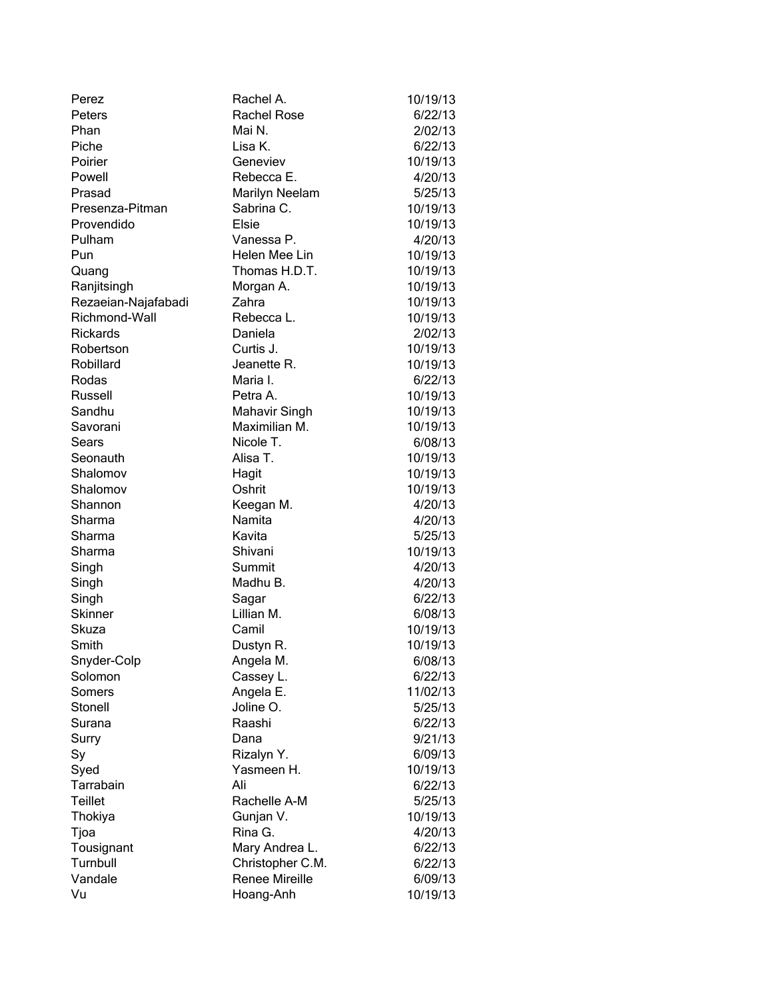| Perez               | Rachel A.             | 10/19/13 |
|---------------------|-----------------------|----------|
| Peters              | <b>Rachel Rose</b>    | 6/22/13  |
| Phan                | Mai N.                | 2/02/13  |
| Piche               | Lisa K.               | 6/22/13  |
| Poirier             | Geneviev              | 10/19/13 |
| Powell              | Rebecca E.            | 4/20/13  |
| Prasad              | <b>Marilyn Neelam</b> | 5/25/13  |
| Presenza-Pitman     | Sabrina C.            | 10/19/13 |
| Provendido          | Elsie                 | 10/19/13 |
| Pulham              | Vanessa P.            | 4/20/13  |
| Pun                 | Helen Mee Lin         | 10/19/13 |
| Quang               | Thomas H.D.T.         | 10/19/13 |
| Ranjitsingh         | Morgan A.             | 10/19/13 |
| Rezaeian-Najafabadi | Zahra                 | 10/19/13 |
| Richmond-Wall       | Rebecca L.            | 10/19/13 |
| <b>Rickards</b>     | Daniela               | 2/02/13  |
| Robertson           | Curtis J.             | 10/19/13 |
| Robillard           | Jeanette R.           | 10/19/13 |
| Rodas               | Maria I.              | 6/22/13  |
| Russell             | Petra A.              | 10/19/13 |
| Sandhu              | <b>Mahavir Singh</b>  | 10/19/13 |
| Savorani            | Maximilian M.         | 10/19/13 |
| Sears               | Nicole T.             | 6/08/13  |
| Seonauth            | Alisa T.              | 10/19/13 |
| Shalomov            | Hagit                 | 10/19/13 |
| Shalomov            | Oshrit                | 10/19/13 |
| Shannon             | Keegan M.             | 4/20/13  |
| Sharma              | Namita                | 4/20/13  |
| Sharma              | Kavita                | 5/25/13  |
| Sharma              | Shivani               | 10/19/13 |
| Singh               | Summit                | 4/20/13  |
| Singh               | Madhu B.              | 4/20/13  |
| Singh               | Sagar                 | 6/22/13  |
| Skinner             | Lillian M.            | 6/08/13  |
| Skuza               | Camil                 | 10/19/13 |
| Smith               | Dustyn R.             | 10/19/13 |
| Snyder-Colp         | Angela M.             | 6/08/13  |
| Solomon             | Cassey L.             | 6/22/13  |
| Somers              | Angela E.             | 11/02/13 |
| Stonell             | Joline O.             | 5/25/13  |
| Surana              | Raashi                | 6/22/13  |
| Surry               | Dana                  | 9/21/13  |
| Sy                  | Rizalyn Y.            | 6/09/13  |
| Syed                | Yasmeen H.            | 10/19/13 |
| Tarrabain           | Ali                   | 6/22/13  |
| <b>Teillet</b>      | Rachelle A-M          | 5/25/13  |
| Thokiya             | Gunjan V.             | 10/19/13 |
| Tjoa                | Rina G.               | 4/20/13  |
| Tousignant          | Mary Andrea L.        | 6/22/13  |
| Turnbull            | Christopher C.M.      | 6/22/13  |
| Vandale             | Renee Mireille        | 6/09/13  |
| Vu                  | Hoang-Anh             | 10/19/13 |